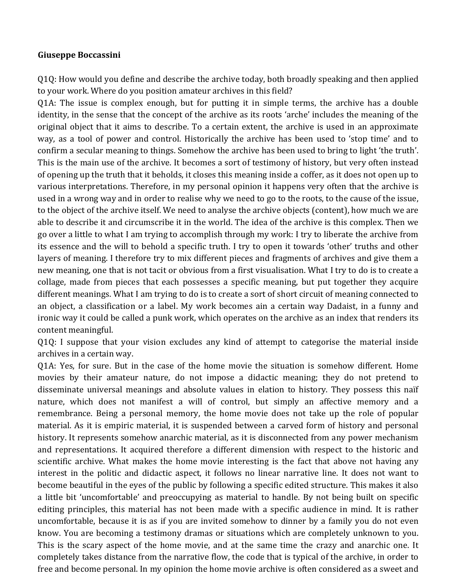## **Giuseppe Boccassini**

Q1Q: How would you define and describe the archive today, both broadly speaking and then applied to your work. Where do you position amateur archives in this field?

Q1A: The issue is complex enough, but for putting it in simple terms, the archive has a double identity, in the sense that the concept of the archive as its roots 'arche' includes the meaning of the original object that it aims to describe. To a certain extent, the archive is used in an approximate way, as a tool of power and control. Historically the archive has been used to 'stop time' and to confirm a secular meaning to things. Somehow the archive has been used to bring to light 'the truth'. This is the main use of the archive. It becomes a sort of testimony of history, but very often instead of opening up the truth that it beholds, it closes this meaning inside a coffer, as it does not open up to various interpretations. Therefore, in my personal opinion it happens very often that the archive is used in a wrong way and in order to realise why we need to go to the roots, to the cause of the issue, to the object of the archive itself. We need to analyse the archive objects (content), how much we are able to describe it and circumscribe it in the world. The idea of the archive is this complex. Then we go over a little to what I am trying to accomplish through my work: I try to liberate the archive from its essence and the will to behold a specific truth. I try to open it towards 'other' truths and other layers of meaning. I therefore try to mix different pieces and fragments of archives and give them a new meaning, one that is not tacit or obvious from a first visualisation. What I try to do is to create a collage, made from pieces that each possesses a specific meaning, but put together they acquire different meanings. What I am trying to do is to create a sort of short circuit of meaning connected to an object, a classification or a label. My work becomes ain a certain way Dadaist, in a funny and ironic way it could be called a punk work, which operates on the archive as an index that renders its content meaningful.

Q1Q: I suppose that your vision excludes any kind of attempt to categorise the material inside archives in a certain way.

Q1A: Yes, for sure. But in the case of the home movie the situation is somehow different. Home movies by their amateur nature, do not impose a didactic meaning; they do not pretend to disseminate universal meanings and absolute values in elation to history. They possess this naïf nature, which does not manifest a will of control, but simply an affective memory and a remembrance. Being a personal memory, the home movie does not take up the role of popular material. As it is empiric material, it is suspended between a carved form of history and personal history. It represents somehow anarchic material, as it is disconnected from any power mechanism and representations. It acquired therefore a different dimension with respect to the historic and scientific archive. What makes the home movie interesting is the fact that above not having any interest in the politic and didactic aspect, it follows no linear narrative line. It does not want to become beautiful in the eyes of the public by following a specific edited structure. This makes it also a little bit 'uncomfortable' and preoccupying as material to handle. By not being built on specific editing principles, this material has not been made with a specific audience in mind. It is rather uncomfortable, because it is as if you are invited somehow to dinner by a family you do not even know. You are becoming a testimony dramas or situations which are completely unknown to you. This is the scary aspect of the home movie, and at the same time the crazy and anarchic one. It completely takes distance from the narrative flow, the code that is typical of the archive, in order to free and become personal. In my opinion the home movie archive is often considered as a sweet and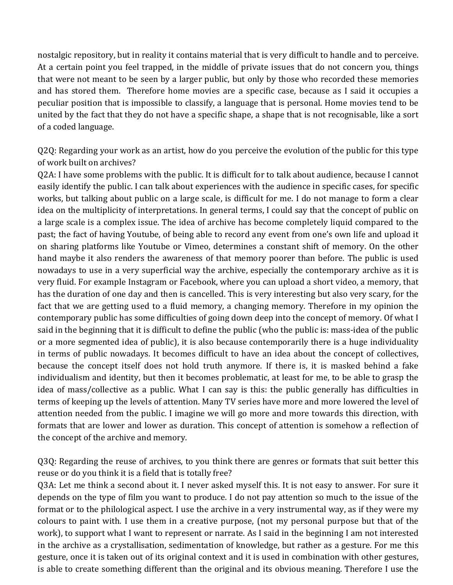nostalgic repository, but in reality it contains material that is very difficult to handle and to perceive. At a certain point you feel trapped, in the middle of private issues that do not concern you, things that were not meant to be seen by a larger public, but only by those who recorded these memories and has stored them. Therefore home movies are a specific case, because as I said it occupies a peculiar position that is impossible to classify, a language that is personal. Home movies tend to be united by the fact that they do not have a specific shape, a shape that is not recognisable, like a sort of a coded language.

Q2Q: Regarding your work as an artist, how do you perceive the evolution of the public for this type of work built on archives?

Q2A: I have some problems with the public. It is difficult for to talk about audience, because I cannot easily identify the public. I can talk about experiences with the audience in specific cases, for specific works, but talking about public on a large scale, is difficult for me. I do not manage to form a clear idea on the multiplicity of interpretations. In general terms, I could say that the concept of public on a large scale is a complex issue. The idea of archive has become completely liquid compared to the past; the fact of having Youtube, of being able to record any event from one's own life and upload it on sharing platforms like Youtube or Vimeo, determines a constant shift of memory. On the other hand maybe it also renders the awareness of that memory poorer than before. The public is used nowadays to use in a very superficial way the archive, especially the contemporary archive as it is very fluid. For example Instagram or Facebook, where you can upload a short video, a memory, that has the duration of one day and then is cancelled. This is very interesting but also very scary, for the fact that we are getting used to a fluid memory, a changing memory. Therefore in my opinion the contemporary public has some difficulties of going down deep into the concept of memory. Of what I said in the beginning that it is difficult to define the public (who the public is: mass-idea of the public or a more segmented idea of public), it is also because contemporarily there is a huge individuality in terms of public nowadays. It becomes difficult to have an idea about the concept of collectives, because the concept itself does not hold truth anymore. If there is, it is masked behind a fake individualism and identity, but then it becomes problematic, at least for me, to be able to grasp the idea of mass/collective as a public. What I can say is this: the public generally has difficulties in terms of keeping up the levels of attention. Many TV series have more and more lowered the level of attention needed from the public. I imagine we will go more and more towards this direction, with formats that are lower and lower as duration. This concept of attention is somehow a reflection of the concept of the archive and memory.

Q3Q: Regarding the reuse of archives, to you think there are genres or formats that suit better this reuse or do you think it is a field that is totally free?

Q3A: Let me think a second about it. I never asked myself this. It is not easy to answer. For sure it depends on the type of film you want to produce. I do not pay attention so much to the issue of the format or to the philological aspect. I use the archive in a very instrumental way, as if they were my colours to paint with. I use them in a creative purpose, (not my personal purpose but that of the work), to support what I want to represent or narrate. As I said in the beginning I am not interested in the archive as a crystallisation, sedimentation of knowledge, but rather as a gesture. For me this gesture, once it is taken out of its original context and it is used in combination with other gestures, is able to create something different than the original and its obvious meaning. Therefore I use the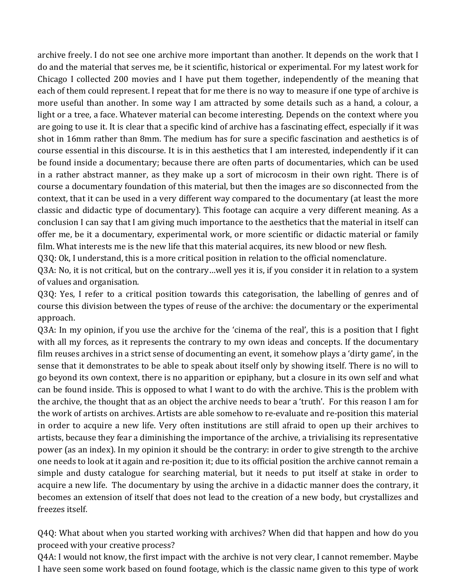archive freely. I do not see one archive more important than another. It depends on the work that I do and the material that serves me, be it scientific, historical or experimental. For my latest work for Chicago I collected 200 movies and I have put them together, independently of the meaning that each of them could represent. I repeat that for me there is no way to measure if one type of archive is more useful than another. In some way I am attracted by some details such as a hand, a colour, a light or a tree, a face. Whatever material can become interesting. Depends on the context where you are going to use it. It is clear that a specific kind of archive has a fascinating effect, especially if it was shot in 16mm rather than 8mm. The medium has for sure a specific fascination and aesthetics is of course essential in this discourse. It is in this aesthetics that I am interested, independently if it can be found inside a documentary; because there are often parts of documentaries, which can be used in a rather abstract manner, as they make up a sort of microcosm in their own right. There is of course a documentary foundation of this material, but then the images are so disconnected from the context, that it can be used in a very different way compared to the documentary (at least the more classic and didactic type of documentary). This footage can acquire a very different meaning. As a conclusion I can say that I am giving much importance to the aesthetics that the material in itself can offer me, be it a documentary, experimental work, or more scientific or didactic material or family film. What interests me is the new life that this material acquires, its new blood or new flesh.

Q3Q: Ok, I understand, this is a more critical position in relation to the official nomenclature.

Q3A: No, it is not critical, but on the contrary...well yes it is, if you consider it in relation to a system of values and organisation.

Q3Q: Yes, I refer to a critical position towards this categorisation, the labelling of genres and of course this division between the types of reuse of the archive: the documentary or the experimental approach. 

Q3A: In my opinion, if you use the archive for the 'cinema of the real', this is a position that I fight with all my forces, as it represents the contrary to my own ideas and concepts. If the documentary film reuses archives in a strict sense of documenting an event, it somehow plays a 'dirty game', in the sense that it demonstrates to be able to speak about itself only by showing itself. There is no will to go beyond its own context, there is no apparition or epiphany, but a closure in its own self and what can be found inside. This is opposed to what I want to do with the archive. This is the problem with the archive, the thought that as an object the archive needs to bear a 'truth'. For this reason I am for the work of artists on archives. Artists are able somehow to re-evaluate and re-position this material in order to acquire a new life. Very often institutions are still afraid to open up their archives to artists, because they fear a diminishing the importance of the archive, a trivialising its representative power (as an index). In my opinion it should be the contrary: in order to give strength to the archive one needs to look at it again and re-position it; due to its official position the archive cannot remain a simple and dusty catalogue for searching material, but it needs to put itself at stake in order to acquire a new life. The documentary by using the archive in a didactic manner does the contrary, it becomes an extension of itself that does not lead to the creation of a new body, but crystallizes and freezes itself.

Q4Q: What about when you started working with archives? When did that happen and how do you proceed with your creative process?

Q4A: I would not know, the first impact with the archive is not very clear, I cannot remember. Maybe I have seen some work based on found footage, which is the classic name given to this type of work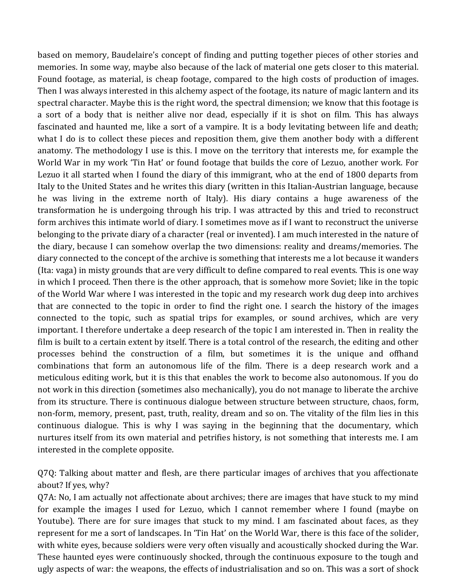based on memory, Baudelaire's concept of finding and putting together pieces of other stories and memories. In some way, maybe also because of the lack of material one gets closer to this material. Found footage, as material, is cheap footage, compared to the high costs of production of images. Then I was always interested in this alchemy aspect of the footage, its nature of magic lantern and its spectral character. Maybe this is the right word, the spectral dimension; we know that this footage is a sort of a body that is neither alive nor dead, especially if it is shot on film. This has always fascinated and haunted me, like a sort of a vampire. It is a body levitating between life and death; what I do is to collect these pieces and reposition them, give them another body with a different anatomy. The methodology I use is this. I move on the territory that interests me, for example the World War in my work 'Tin Hat' or found footage that builds the core of Lezuo, another work. For Lezuo it all started when I found the diary of this immigrant, who at the end of 1800 departs from Italy to the United States and he writes this diary (written in this Italian-Austrian language, because he was living in the extreme north of Italy). His diary contains a huge awareness of the transformation he is undergoing through his trip. I was attracted by this and tried to reconstruct form archives this intimate world of diary. I sometimes move as if I want to reconstruct the universe belonging to the private diary of a character (real or invented). I am much interested in the nature of the diary, because I can somehow overlap the two dimensions: reality and dreams/memories. The diary connected to the concept of the archive is something that interests me a lot because it wanders (Ita: vaga) in misty grounds that are very difficult to define compared to real events. This is one way in which I proceed. Then there is the other approach, that is somehow more Soviet; like in the topic of the World War where I was interested in the topic and my research work dug deep into archives that are connected to the topic in order to find the right one. I search the history of the images connected to the topic, such as spatial trips for examples, or sound archives, which are very important. I therefore undertake a deep research of the topic I am interested in. Then in reality the film is built to a certain extent by itself. There is a total control of the research, the editing and other processes behind the construction of a film, but sometimes it is the unique and offhand combinations that form an autonomous life of the film. There is a deep research work and a meticulous editing work, but it is this that enables the work to become also autonomous. If you do not work in this direction (sometimes also mechanically), you do not manage to liberate the archive from its structure. There is continuous dialogue between structure between structure, chaos, form, non-form, memory, present, past, truth, reality, dream and so on. The vitality of the film lies in this continuous dialogue. This is why I was saying in the beginning that the documentary, which nurtures itself from its own material and petrifies history, is not something that interests me. I am interested in the complete opposite.

Q7Q: Talking about matter and flesh, are there particular images of archives that you affectionate about? If yes, why?

Q7A: No, I am actually not affectionate about archives; there are images that have stuck to my mind for example the images I used for Lezuo, which I cannot remember where I found (maybe on Youtube). There are for sure images that stuck to my mind. I am fascinated about faces, as they represent for me a sort of landscapes. In 'Tin Hat' on the World War, there is this face of the solider, with white eyes, because soldiers were very often visually and acoustically shocked during the War. These haunted eyes were continuously shocked, through the continuous exposure to the tough and ugly aspects of war: the weapons, the effects of industrialisation and so on. This was a sort of shock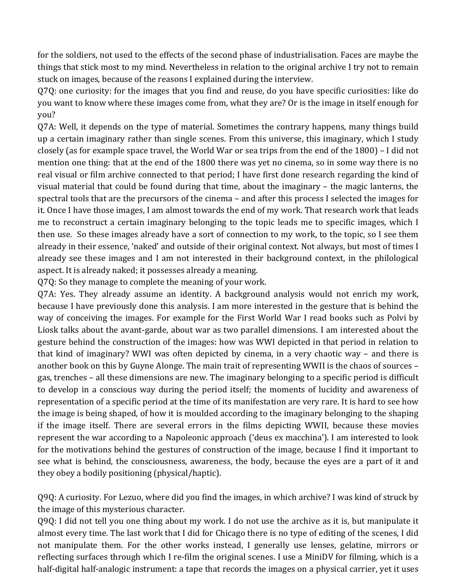for the soldiers, not used to the effects of the second phase of industrialisation. Faces are maybe the things that stick most to my mind. Nevertheless in relation to the original archive I try not to remain stuck on images, because of the reasons I explained during the interview.

Q7Q: one curiosity: for the images that you find and reuse, do you have specific curiosities: like do you want to know where these images come from, what they are? Or is the image in itself enough for you?

Q7A: Well, it depends on the type of material. Sometimes the contrary happens, many things build up a certain imaginary rather than single scenes. From this universe, this imaginary, which I study closely (as for example space travel, the World War or sea trips from the end of the  $1800$ ) – I did not mention one thing: that at the end of the 1800 there was yet no cinema, so in some way there is no real visual or film archive connected to that period; I have first done research regarding the kind of visual material that could be found during that time, about the imaginary – the magic lanterns, the spectral tools that are the precursors of the cinema – and after this process I selected the images for it. Once I have those images, I am almost towards the end of my work. That research work that leads me to reconstruct a certain imaginary belonging to the topic leads me to specific images, which I then use. So these images already have a sort of connection to my work, to the topic, so I see them already in their essence, 'naked' and outside of their original context. Not always, but most of times I already see these images and I am not interested in their background context, in the philological aspect. It is already naked; it possesses already a meaning.

Q7Q: So they manage to complete the meaning of your work.

Q7A: Yes. They already assume an identity. A background analysis would not enrich my work, because I have previously done this analysis. I am more interested in the gesture that is behind the way of conceiving the images. For example for the First World War I read books such as Polvi by Liosk talks about the avant-garde, about war as two parallel dimensions. I am interested about the gesture behind the construction of the images: how was WWI depicted in that period in relation to that kind of imaginary? WWI was often depicted by cinema, in a very chaotic way – and there is another book on this by Guyne Alonge. The main trait of representing WWII is the chaos of sources gas, trenches – all these dimensions are new. The imaginary belonging to a specific period is difficult to develop in a conscious way during the period itself; the moments of lucidity and awareness of representation of a specific period at the time of its manifestation are very rare. It is hard to see how the image is being shaped, of how it is moulded according to the imaginary belonging to the shaping if the image itself. There are several errors in the films depicting WWII, because these movies represent the war according to a Napoleonic approach ('deus ex macchina'). I am interested to look for the motivations behind the gestures of construction of the image, because I find it important to see what is behind, the consciousness, awareness, the body, because the eyes are a part of it and they obey a bodily positioning (physical/haptic).

Q9Q: A curiosity. For Lezuo, where did you find the images, in which archive? I was kind of struck by the image of this mysterious character.

Q9Q: I did not tell you one thing about my work. I do not use the archive as it is, but manipulate it almost every time. The last work that I did for Chicago there is no type of editing of the scenes, I did not manipulate them. For the other works instead, I generally use lenses, gelatine, mirrors or reflecting surfaces through which I re-film the original scenes. I use a MiniDV for filming, which is a half-digital half-analogic instrument: a tape that records the images on a physical carrier, yet it uses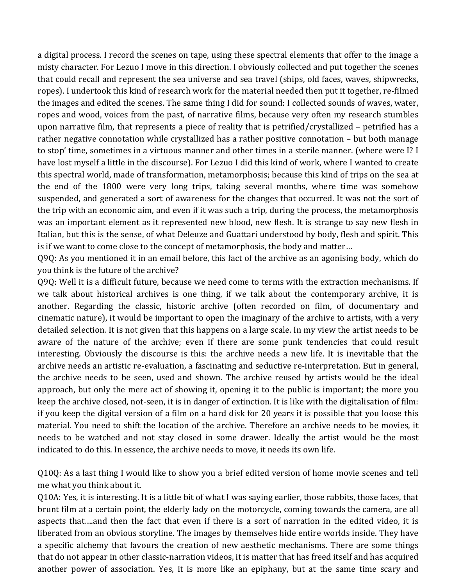a digital process. I record the scenes on tape, using these spectral elements that offer to the image a misty character. For Lezuo I move in this direction. I obviously collected and put together the scenes that could recall and represent the sea universe and sea travel (ships, old faces, waves, shipwrecks, ropes). I undertook this kind of research work for the material needed then put it together, re-filmed the images and edited the scenes. The same thing I did for sound: I collected sounds of waves, water, ropes and wood, voices from the past, of narrative films, because very often my research stumbles upon narrative film, that represents a piece of reality that is petrified/crystallized – petrified has a rather negative connotation while crystallized has a rather positive connotation - but both manage to stop' time, sometimes in a virtuous manner and other times in a sterile manner. (where were I? I have lost myself a little in the discourse). For Lezuo I did this kind of work, where I wanted to create this spectral world, made of transformation, metamorphosis; because this kind of trips on the sea at the end of the 1800 were very long trips, taking several months, where time was somehow suspended, and generated a sort of awareness for the changes that occurred. It was not the sort of the trip with an economic aim, and even if it was such a trip, during the process, the metamorphosis was an important element as it represented new blood, new flesh. It is strange to say new flesh in Italian, but this is the sense, of what Deleuze and Guattari understood by body, flesh and spirit. This is if we want to come close to the concept of metamorphosis, the body and matter...

Q9Q: As you mentioned it in an email before, this fact of the archive as an agonising body, which do you think is the future of the archive?

Q9Q: Well it is a difficult future, because we need come to terms with the extraction mechanisms. If we talk about historical archives is one thing, if we talk about the contemporary archive, it is another. Regarding the classic, historic archive (often recorded on film, of documentary and cinematic nature), it would be important to open the imaginary of the archive to artists, with a very detailed selection. It is not given that this happens on a large scale. In my view the artist needs to be aware of the nature of the archive; even if there are some punk tendencies that could result interesting. Obviously the discourse is this: the archive needs a new life. It is inevitable that the archive needs an artistic re-evaluation, a fascinating and seductive re-interpretation. But in general, the archive needs to be seen, used and shown. The archive reused by artists would be the ideal approach, but only the mere act of showing it, opening it to the public is important; the more you keep the archive closed, not-seen, it is in danger of extinction. It is like with the digitalisation of film: if you keep the digital version of a film on a hard disk for 20 years it is possible that you loose this material. You need to shift the location of the archive. Therefore an archive needs to be movies, it needs to be watched and not stay closed in some drawer. Ideally the artist would be the most indicated to do this. In essence, the archive needs to move, it needs its own life.

Q10Q: As a last thing I would like to show you a brief edited version of home movie scenes and tell me what you think about it.

Q10A: Yes, it is interesting. It is a little bit of what I was saying earlier, those rabbits, those faces, that brunt film at a certain point, the elderly lady on the motorcycle, coming towards the camera, are all aspects that….and then the fact that even if there is a sort of narration in the edited video, it is liberated from an obvious storyline. The images by themselves hide entire worlds inside. They have a specific alchemy that favours the creation of new aesthetic mechanisms. There are some things that do not appear in other classic-narration videos, it is matter that has freed itself and has acquired another power of association. Yes, it is more like an epiphany, but at the same time scary and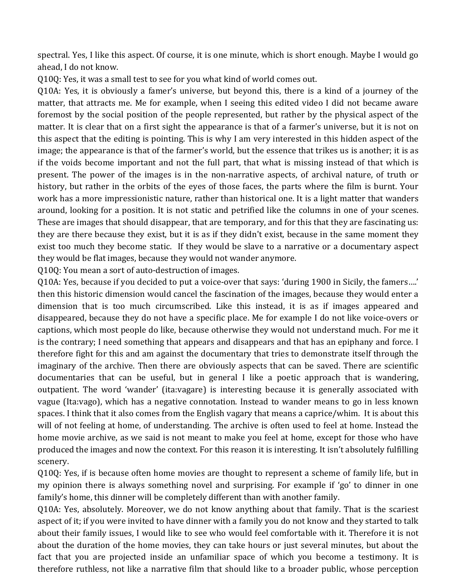spectral. Yes, I like this aspect. Of course, it is one minute, which is short enough. Maybe I would go ahead. I do not know.

Q10Q: Yes, it was a small test to see for you what kind of world comes out.

Q10A: Yes, it is obviously a famer's universe, but beyond this, there is a kind of a journey of the matter, that attracts me. Me for example, when I seeing this edited video I did not became aware foremost by the social position of the people represented, but rather by the physical aspect of the matter. It is clear that on a first sight the appearance is that of a farmer's universe, but it is not on this aspect that the editing is pointing. This is why I am very interested in this hidden aspect of the image; the appearance is that of the farmer's world, but the essence that trikes us is another; it is as if the voids become important and not the full part, that what is missing instead of that which is present. The power of the images is in the non-narrative aspects, of archival nature, of truth or history, but rather in the orbits of the eyes of those faces, the parts where the film is burnt. Your work has a more impressionistic nature, rather than historical one. It is a light matter that wanders around, looking for a position. It is not static and petrified like the columns in one of your scenes. These are images that should disappear, that are temporary, and for this that they are fascinating us: they are there because they exist, but it is as if they didn't exist, because in the same moment they exist too much they become static. If they would be slave to a narrative or a documentary aspect they would be flat images, because they would not wander anymore.

Q10Q: You mean a sort of auto-destruction of images.

Q10A: Yes, because if you decided to put a voice-over that says: 'during 1900 in Sicily, the famers....' then this historic dimension would cancel the fascination of the images, because they would enter a dimension that is too much circumscribed. Like this instead, it is as if images appeared and disappeared, because they do not have a specific place. Me for example I do not like voice-overs or captions, which most people do like, because otherwise they would not understand much. For me it is the contrary; I need something that appears and disappears and that has an epiphany and force. I therefore fight for this and am against the documentary that tries to demonstrate itself through the imaginary of the archive. Then there are obviously aspects that can be saved. There are scientific documentaries that can be useful, but in general I like a poetic approach that is wandering, outpatient. The word 'wander' (ita:vagare) is interesting because it is generally associated with vague (Ita:vago), which has a negative connotation. Instead to wander means to go in less known spaces. I think that it also comes from the English vagary that means a caprice/whim. It is about this will of not feeling at home, of understanding. The archive is often used to feel at home. Instead the home movie archive, as we said is not meant to make you feel at home, except for those who have produced the images and now the context. For this reason it is interesting. It isn't absolutely fulfilling scenery. 

Q10Q: Yes, if is because often home movies are thought to represent a scheme of family life, but in my opinion there is always something novel and surprising. For example if 'go' to dinner in one family's home, this dinner will be completely different than with another family.

Q10A: Yes, absolutely. Moreover, we do not know anything about that family. That is the scariest aspect of it; if you were invited to have dinner with a family you do not know and they started to talk about their family issues, I would like to see who would feel comfortable with it. Therefore it is not about the duration of the home movies, they can take hours or just several minutes, but about the fact that you are projected inside an unfamiliar space of which you become a testimony. It is therefore ruthless, not like a narrative film that should like to a broader public, whose perception